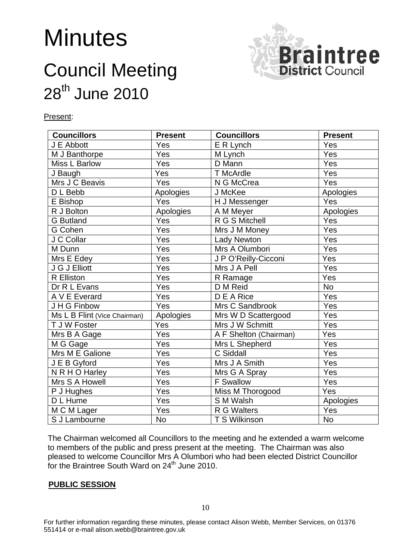# **Minutes**



# Council Meeting 28<sup>th</sup> June 2010

Present:

| <b>Councillors</b>           | <b>Present</b> | <b>Councillors</b>     | <b>Present</b> |
|------------------------------|----------------|------------------------|----------------|
| J E Abbott                   | Yes            | E R Lynch              | Yes            |
| M J Banthorpe                | Yes            | M Lynch                | Yes            |
| <b>Miss L Barlow</b>         | Yes            | D Mann                 | Yes            |
| J Baugh                      | Yes            | T McArdle              | Yes            |
| Mrs J C Beavis               | Yes            | N G McCrea             | Yes            |
| $\overline{D}$ L Bebb        | Apologies      | J McKee                | Apologies      |
| E Bishop                     | Yes            | H J Messenger          | Yes            |
| R J Bolton                   | Apologies      | A M Meyer              | Apologies      |
| <b>G</b> Butland             | Yes            | R G S Mitchell         | Yes            |
| G Cohen                      | Yes            | Mrs J M Money          | Yes            |
| J C Collar                   | Yes            | <b>Lady Newton</b>     | Yes            |
| M Dunn                       | Yes            | Mrs A Olumbori         | Yes            |
| Mrs E Edey                   | Yes            | J P O'Reilly-Cicconi   | Yes            |
| J G J Elliott                | Yes            | Mrs J A Pell           | Yes            |
| R Elliston                   | Yes            | R Ramage               | Yes            |
| Dr R L Evans                 | Yes            | D M Reid               | <b>No</b>      |
| A V E Everard                | Yes            | D E A Rice             | Yes            |
| J H G Finbow                 | Yes            | Mrs C Sandbrook        | Yes            |
| Ms L B Flint (Vice Chairman) | Apologies      | Mrs W D Scattergood    | Yes            |
| T J W Foster                 | Yes            | Mrs J W Schmitt        | Yes            |
| Mrs B A Gage                 | Yes            | A F Shelton (Chairman) | Yes            |
| M G Gage                     | Yes            | Mrs L Shepherd         | Yes            |
| Mrs M E Galione              | Yes            | C Siddall              | Yes            |
| J E B Gyford                 | Yes            | Mrs J A Smith          | Yes            |
| N R H O Harley               | Yes            | Mrs G A Spray          | Yes            |
| Mrs S A Howell               | Yes            | F Swallow              | Yes            |
| P J Hughes                   | Yes            | Miss M Thorogood       | Yes            |
| D L Hume                     | Yes            | S M Walsh              | Apologies      |
| M C M Lager                  | Yes            | R G Walters            | Yes            |
| S J Lambourne                | <b>No</b>      | T S Wilkinson          | <b>No</b>      |

The Chairman welcomed all Councillors to the meeting and he extended a warm welcome to members of the public and press present at the meeting. The Chairman was also pleased to welcome Councillor Mrs A Olumbori who had been elected District Councillor for the Braintree South Ward on 24<sup>th</sup> June 2010.

#### **PUBLIC SESSION**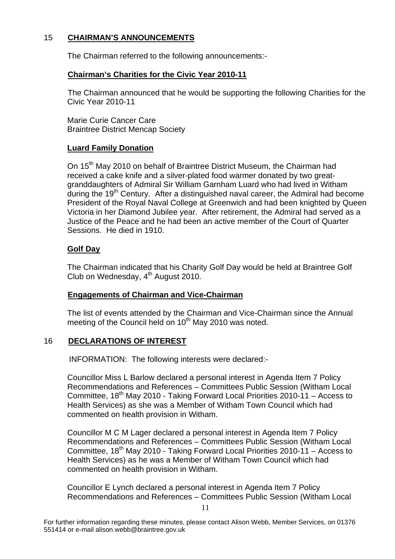# 15 **CHAIRMAN'S ANNOUNCEMENTS**

The Chairman referred to the following announcements:-

# **Chairman's Charities for the Civic Year 2010-11**

 The Chairman announced that he would be supporting the following Charities for the Civic Year 2010-11

Marie Curie Cancer Care Braintree District Mencap Society

# **Luard Family Donation**

On 15<sup>th</sup> May 2010 on behalf of Braintree District Museum, the Chairman had received a cake knife and a silver-plated food warmer donated by two greatgranddaughters of Admiral Sir William Garnham Luard who had lived in Witham during the  $19<sup>th</sup>$  Century. After a distinguished naval career, the Admiral had become President of the Royal Naval College at Greenwich and had been knighted by Queen Victoria in her Diamond Jubilee year. After retirement, the Admiral had served as a Justice of the Peace and he had been an active member of the Court of Quarter Sessions. He died in 1910.

# **Golf Day**

The Chairman indicated that his Charity Golf Day would be held at Braintree Golf Club on Wednesday, 4<sup>th</sup> August 2010.

# **Engagements of Chairman and Vice-Chairman**

The list of events attended by the Chairman and Vice-Chairman since the Annual meeting of the Council held on 10<sup>th</sup> May 2010 was noted.

# 16 **DECLARATIONS OF INTEREST**

INFORMATION: The following interests were declared:-

Councillor Miss L Barlow declared a personal interest in Agenda Item 7 Policy Recommendations and References – Committees Public Session (Witham Local Committee,  $18<sup>th</sup>$  May 2010 - Taking Forward Local Priorities 2010-11 – Access to Health Services) as she was a Member of Witham Town Council which had commented on health provision in Witham.

Councillor M C M Lager declared a personal interest in Agenda Item 7 Policy Recommendations and References – Committees Public Session (Witham Local Committee,  $18^{th}$  May 2010 - Taking Forward Local Priorities 2010-11 – Access to Health Services) as he was a Member of Witham Town Council which had commented on health provision in Witham.

Councillor E Lynch declared a personal interest in Agenda Item 7 Policy Recommendations and References – Committees Public Session (Witham Local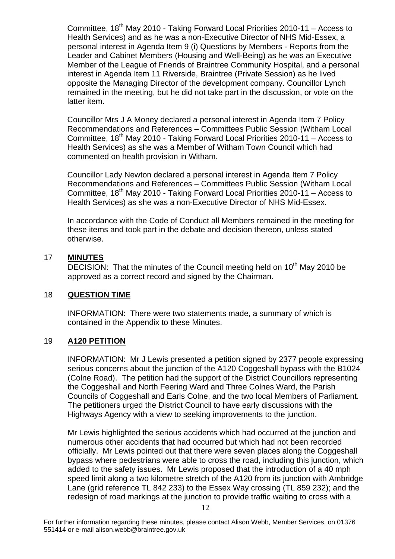Committee,  $18<sup>th</sup>$  May 2010 - Taking Forward Local Priorities 2010-11 – Access to Health Services) and as he was a non-Executive Director of NHS Mid-Essex, a personal interest in Agenda Item 9 (i) Questions by Members - Reports from the Leader and Cabinet Members (Housing and Well-Being) as he was an Executive Member of the League of Friends of Braintree Community Hospital, and a personal interest in Agenda Item 11 Riverside, Braintree (Private Session) as he lived opposite the Managing Director of the development company. Councillor Lynch remained in the meeting, but he did not take part in the discussion, or vote on the latter item.

Councillor Mrs J A Money declared a personal interest in Agenda Item 7 Policy Recommendations and References – Committees Public Session (Witham Local Committee,  $18^{th}$  May 2010 - Taking Forward Local Priorities 2010-11 – Access to Health Services) as she was a Member of Witham Town Council which had commented on health provision in Witham.

Councillor Lady Newton declared a personal interest in Agenda Item 7 Policy Recommendations and References – Committees Public Session (Witham Local Committee,  $18<sup>th</sup>$  May 2010 - Taking Forward Local Priorities 2010-11 – Access to Health Services) as she was a non-Executive Director of NHS Mid-Essex.

In accordance with the Code of Conduct all Members remained in the meeting for these items and took part in the debate and decision thereon, unless stated otherwise.

# 17 **MINUTES**

DECISION: That the minutes of the Council meeting held on 10<sup>th</sup> May 2010 be approved as a correct record and signed by the Chairman.

# 18 **QUESTION TIME**

INFORMATION: There were two statements made, a summary of which is contained in the Appendix to these Minutes.

# 19 **A120 PETITION**

INFORMATION: Mr J Lewis presented a petition signed by 2377 people expressing serious concerns about the junction of the A120 Coggeshall bypass with the B1024 (Colne Road). The petition had the support of the District Councillors representing the Coggeshall and North Feering Ward and Three Colnes Ward, the Parish Councils of Coggeshall and Earls Colne, and the two local Members of Parliament. The petitioners urged the District Council to have early discussions with the Highways Agency with a view to seeking improvements to the junction.

Mr Lewis highlighted the serious accidents which had occurred at the junction and numerous other accidents that had occurred but which had not been recorded officially. Mr Lewis pointed out that there were seven places along the Coggeshall bypass where pedestrians were able to cross the road, including this junction, which added to the safety issues. Mr Lewis proposed that the introduction of a 40 mph speed limit along a two kilometre stretch of the A120 from its junction with Ambridge Lane (grid reference TL 842 233) to the Essex Way crossing (TL 859 232); and the redesign of road markings at the junction to provide traffic waiting to cross with a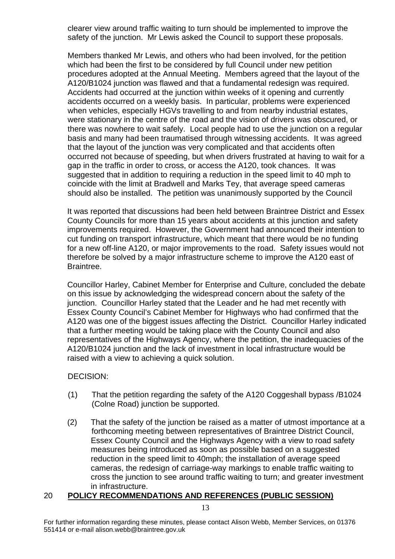clearer view around traffic waiting to turn should be implemented to improve the safety of the junction. Mr Lewis asked the Council to support these proposals.

Members thanked Mr Lewis, and others who had been involved, for the petition which had been the first to be considered by full Council under new petition procedures adopted at the Annual Meeting. Members agreed that the layout of the A120/B1024 junction was flawed and that a fundamental redesign was required. Accidents had occurred at the junction within weeks of it opening and currently accidents occurred on a weekly basis. In particular, problems were experienced when vehicles, especially HGVs travelling to and from nearby industrial estates, were stationary in the centre of the road and the vision of drivers was obscured, or there was nowhere to wait safely. Local people had to use the junction on a regular basis and many had been traumatised through witnessing accidents. It was agreed that the layout of the junction was very complicated and that accidents often occurred not because of speeding, but when drivers frustrated at having to wait for a gap in the traffic in order to cross, or access the A120, took chances. It was suggested that in addition to requiring a reduction in the speed limit to 40 mph to coincide with the limit at Bradwell and Marks Tey, that average speed cameras should also be installed. The petition was unanimously supported by the Council

It was reported that discussions had been held between Braintree District and Essex County Councils for more than 15 years about accidents at this junction and safety improvements required. However, the Government had announced their intention to cut funding on transport infrastructure, which meant that there would be no funding for a new off-line A120, or major improvements to the road. Safety issues would not therefore be solved by a major infrastructure scheme to improve the A120 east of Braintree.

Councillor Harley, Cabinet Member for Enterprise and Culture, concluded the debate on this issue by acknowledging the widespread concern about the safety of the junction. Councillor Harley stated that the Leader and he had met recently with Essex County Council's Cabinet Member for Highways who had confirmed that the A120 was one of the biggest issues affecting the District. Councillor Harley indicated that a further meeting would be taking place with the County Council and also representatives of the Highways Agency, where the petition, the inadequacies of the A120/B1024 junction and the lack of investment in local infrastructure would be raised with a view to achieving a quick solution.

#### DECISION:

- (1) That the petition regarding the safety of the A120 Coggeshall bypass /B1024 (Colne Road) junction be supported.
- (2) That the safety of the junction be raised as a matter of utmost importance at a forthcoming meeting between representatives of Braintree District Council, Essex County Council and the Highways Agency with a view to road safety measures being introduced as soon as possible based on a suggested reduction in the speed limit to 40mph; the installation of average speed cameras, the redesign of carriage-way markings to enable traffic waiting to cross the junction to see around traffic waiting to turn; and greater investment in infrastructure.

# 20 **POLICY RECOMMENDATIONS AND REFERENCES (PUBLIC SESSION)**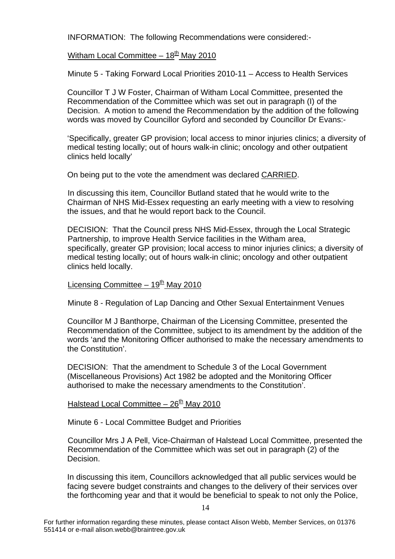INFORMATION: The following Recommendations were considered:-

# Witham Local Committee –  $18<sup>th</sup>$  May 2010

Minute 5 - Taking Forward Local Priorities 2010-11 – Access to Health Services

Councillor T J W Foster, Chairman of Witham Local Committee, presented the Recommendation of the Committee which was set out in paragraph (I) of the Decision. A motion to amend the Recommendation by the addition of the following words was moved by Councillor Gyford and seconded by Councillor Dr Evans:-

'Specifically, greater GP provision; local access to minor injuries clinics; a diversity of medical testing locally; out of hours walk-in clinic; oncology and other outpatient clinics held locally'

On being put to the vote the amendment was declared CARRIED.

 In discussing this item, Councillor Butland stated that he would write to the Chairman of NHS Mid-Essex requesting an early meeting with a view to resolving the issues, and that he would report back to the Council.

DECISION: That the Council press NHS Mid-Essex, through the Local Strategic Partnership, to improve Health Service facilities in the Witham area, specifically, greater GP provision; local access to minor injuries clinics; a diversity of medical testing locally; out of hours walk-in clinic; oncology and other outpatient clinics held locally.

# Licensing Committee –  $19<sup>th</sup>$  May 2010

Minute 8 - Regulation of Lap Dancing and Other Sexual Entertainment Venues

Councillor M J Banthorpe, Chairman of the Licensing Committee, presented the Recommendation of the Committee, subject to its amendment by the addition of the words 'and the Monitoring Officer authorised to make the necessary amendments to the Constitution'.

DECISION: That the amendment to Schedule 3 of the Local Government (Miscellaneous Provisions) Act 1982 be adopted and the Monitoring Officer authorised to make the necessary amendments to the Constitution'.

# Halstead Local Committee –  $26<sup>th</sup>$  May 2010

Minute 6 - Local Committee Budget and Priorities

 Councillor Mrs J A Pell, Vice-Chairman of Halstead Local Committee, presented the Recommendation of the Committee which was set out in paragraph (2) of the Decision.

In discussing this item, Councillors acknowledged that all public services would be facing severe budget constraints and changes to the delivery of their services over the forthcoming year and that it would be beneficial to speak to not only the Police,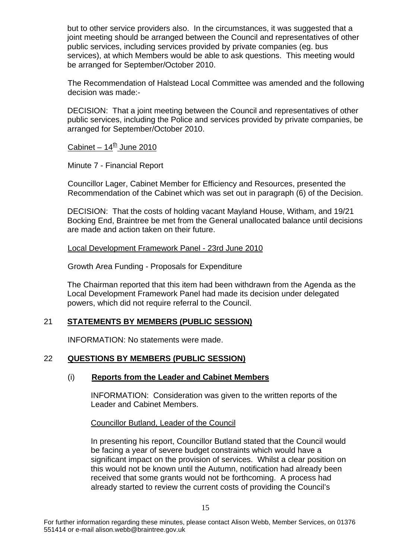but to other service providers also. In the circumstances, it was suggested that a joint meeting should be arranged between the Council and representatives of other public services, including services provided by private companies (eg. bus services), at which Members would be able to ask questions. This meeting would be arranged for September/October 2010.

The Recommendation of Halstead Local Committee was amended and the following decision was made:-

DECISION: That a joint meeting between the Council and representatives of other public services, including the Police and services provided by private companies, be arranged for September/October 2010.

# Cabinet –  $14^{\underline{th}}$  June 2010

Minute 7 - Financial Report

 Councillor Lager, Cabinet Member for Efficiency and Resources, presented the Recommendation of the Cabinet which was set out in paragraph (6) of the Decision.

DECISION: That the costs of holding vacant Mayland House, Witham, and 19/21 Bocking End, Braintree be met from the General unallocated balance until decisions are made and action taken on their future.

Local Development Framework Panel - 23rd June 2010

Growth Area Funding - Proposals for Expenditure

The Chairman reported that this item had been withdrawn from the Agenda as the Local Development Framework Panel had made its decision under delegated powers, which did not require referral to the Council.

#### 21 **STATEMENTS BY MEMBERS (PUBLIC SESSION)**

INFORMATION: No statements were made.

#### 22 **QUESTIONS BY MEMBERS (PUBLIC SESSION)**

#### (i) **Reports from the Leader and Cabinet Members**

INFORMATION: Consideration was given to the written reports of the Leader and Cabinet Members.

Councillor Butland, Leader of the Council

In presenting his report, Councillor Butland stated that the Council would be facing a year of severe budget constraints which would have a significant impact on the provision of services. Whilst a clear position on this would not be known until the Autumn, notification had already been received that some grants would not be forthcoming. A process had already started to review the current costs of providing the Council's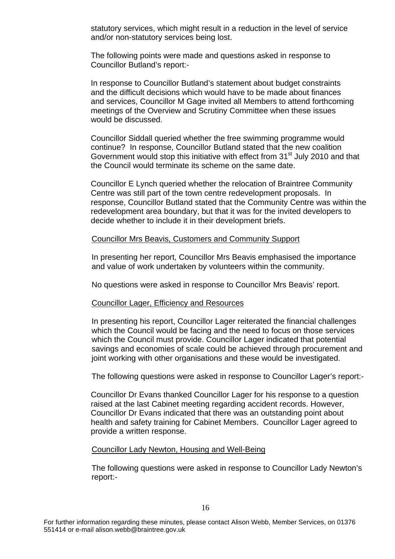statutory services, which might result in a reduction in the level of service and/or non-statutory services being lost.

The following points were made and questions asked in response to Councillor Butland's report:-

In response to Councillor Butland's statement about budget constraints and the difficult decisions which would have to be made about finances and services, Councillor M Gage invited all Members to attend forthcoming meetings of the Overview and Scrutiny Committee when these issues would be discussed.

Councillor Siddall queried whether the free swimming programme would continue? In response, Councillor Butland stated that the new coalition Government would stop this initiative with effect from 31<sup>st</sup> July 2010 and that the Council would terminate its scheme on the same date.

Councillor E Lynch queried whether the relocation of Braintree Community Centre was still part of the town centre redevelopment proposals. In response, Councillor Butland stated that the Community Centre was within the redevelopment area boundary, but that it was for the invited developers to decide whether to include it in their development briefs.

#### Councillor Mrs Beavis, Customers and Community Support

In presenting her report, Councillor Mrs Beavis emphasised the importance and value of work undertaken by volunteers within the community.

No questions were asked in response to Councillor Mrs Beavis' report.

#### Councillor Lager, Efficiency and Resources

In presenting his report, Councillor Lager reiterated the financial challenges which the Council would be facing and the need to focus on those services which the Council must provide. Councillor Lager indicated that potential savings and economies of scale could be achieved through procurement and joint working with other organisations and these would be investigated.

The following questions were asked in response to Councillor Lager's report:-

Councillor Dr Evans thanked Councillor Lager for his response to a question raised at the last Cabinet meeting regarding accident records. However, Councillor Dr Evans indicated that there was an outstanding point about health and safety training for Cabinet Members. Councillor Lager agreed to provide a written response.

#### Councillor Lady Newton, Housing and Well-Being

The following questions were asked in response to Councillor Lady Newton's report:-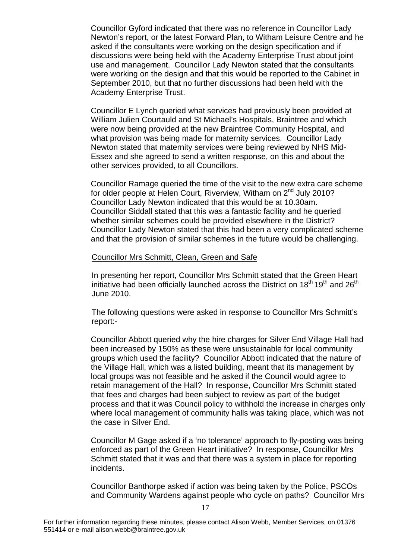Councillor Gyford indicated that there was no reference in Councillor Lady Newton's report, or the latest Forward Plan, to Witham Leisure Centre and he asked if the consultants were working on the design specification and if discussions were being held with the Academy Enterprise Trust about joint use and management. Councillor Lady Newton stated that the consultants were working on the design and that this would be reported to the Cabinet in September 2010, but that no further discussions had been held with the Academy Enterprise Trust.

Councillor E Lynch queried what services had previously been provided at William Julien Courtauld and St Michael's Hospitals, Braintree and which were now being provided at the new Braintree Community Hospital, and what provision was being made for maternity services. Councillor Lady Newton stated that maternity services were being reviewed by NHS Mid-Essex and she agreed to send a written response, on this and about the other services provided, to all Councillors.

Councillor Ramage queried the time of the visit to the new extra care scheme for older people at Helen Court, Riverview, Witham on 2<sup>nd</sup> July 2010? Councillor Lady Newton indicated that this would be at 10.30am. Councillor Siddall stated that this was a fantastic facility and he queried whether similar schemes could be provided elsewhere in the District? Councillor Lady Newton stated that this had been a very complicated scheme and that the provision of similar schemes in the future would be challenging.

#### Councillor Mrs Schmitt, Clean, Green and Safe

In presenting her report, Councillor Mrs Schmitt stated that the Green Heart initiative had been officially launched across the District on  $18<sup>th</sup> 19<sup>th</sup>$  and  $26<sup>th</sup>$ June 2010.

The following questions were asked in response to Councillor Mrs Schmitt's report:-

Councillor Abbott queried why the hire charges for Silver End Village Hall had been increased by 150% as these were unsustainable for local community groups which used the facility? Councillor Abbott indicated that the nature of the Village Hall, which was a listed building, meant that its management by local groups was not feasible and he asked if the Council would agree to retain management of the Hall? In response, Councillor Mrs Schmitt stated that fees and charges had been subject to review as part of the budget process and that it was Council policy to withhold the increase in charges only where local management of community halls was taking place, which was not the case in Silver End.

Councillor M Gage asked if a 'no tolerance' approach to fly-posting was being enforced as part of the Green Heart initiative? In response, Councillor Mrs Schmitt stated that it was and that there was a system in place for reporting incidents.

Councillor Banthorpe asked if action was being taken by the Police, PSCOs and Community Wardens against people who cycle on paths? Councillor Mrs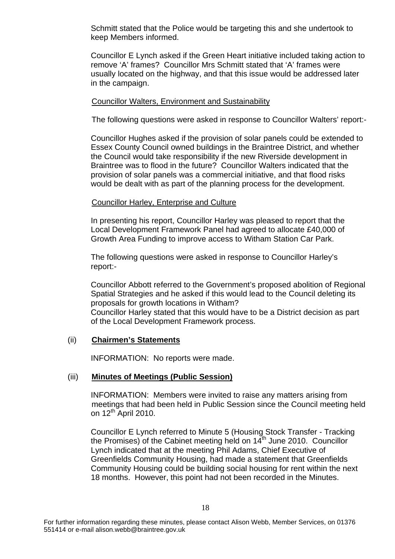Schmitt stated that the Police would be targeting this and she undertook to keep Members informed.

Councillor E Lynch asked if the Green Heart initiative included taking action to remove 'A' frames? Councillor Mrs Schmitt stated that 'A' frames were usually located on the highway, and that this issue would be addressed later in the campaign.

#### Councillor Walters, Environment and Sustainability

The following questions were asked in response to Councillor Walters' report:-

Councillor Hughes asked if the provision of solar panels could be extended to Essex County Council owned buildings in the Braintree District, and whether the Council would take responsibility if the new Riverside development in Braintree was to flood in the future? Councillor Walters indicated that the provision of solar panels was a commercial initiative, and that flood risks would be dealt with as part of the planning process for the development.

#### Councillor Harley, Enterprise and Culture

In presenting his report, Councillor Harley was pleased to report that the Local Development Framework Panel had agreed to allocate £40,000 of Growth Area Funding to improve access to Witham Station Car Park.

The following questions were asked in response to Councillor Harley's report:-

Councillor Abbott referred to the Government's proposed abolition of Regional Spatial Strategies and he asked if this would lead to the Council deleting its proposals for growth locations in Witham? Councillor Harley stated that this would have to be a District decision as part of the Local Development Framework process.

#### (ii) **Chairmen's Statements**

INFORMATION: No reports were made.

#### (iii) **Minutes of Meetings (Public Session)**

INFORMATION: Members were invited to raise any matters arising from meetings that had been held in Public Session since the Council meeting held on 12th April 2010.

Councillor E Lynch referred to Minute 5 (Housing Stock Transfer - Tracking the Promises) of the Cabinet meeting held on  $14<sup>th</sup>$  June 2010. Councillor Lynch indicated that at the meeting Phil Adams, Chief Executive of Greenfields Community Housing, had made a statement that Greenfields Community Housing could be building social housing for rent within the next 18 months. However, this point had not been recorded in the Minutes.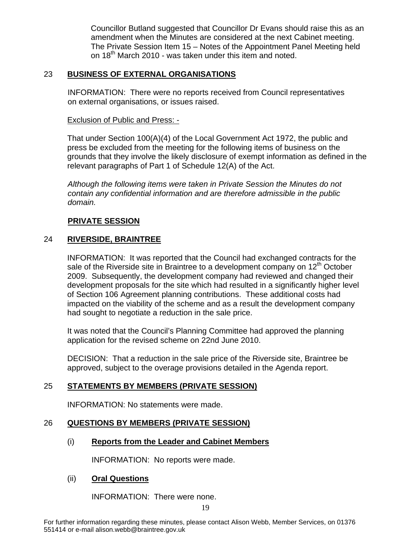Councillor Butland suggested that Councillor Dr Evans should raise this as an amendment when the Minutes are considered at the next Cabinet meeting. The Private Session Item 15 – Notes of the Appointment Panel Meeting held on 18<sup>th</sup> March 2010 - was taken under this item and noted.

# 23 **BUSINESS OF EXTERNAL ORGANISATIONS**

INFORMATION: There were no reports received from Council representatives on external organisations, or issues raised.

#### Exclusion of Public and Press: -

That under Section 100(A)(4) of the Local Government Act 1972, the public and press be excluded from the meeting for the following items of business on the grounds that they involve the likely disclosure of exempt information as defined in the relevant paragraphs of Part 1 of Schedule 12(A) of the Act.

*Although the following items were taken in Private Session the Minutes do not contain any confidential information and are therefore admissible in the public domain.* 

#### **PRIVATE SESSION**

# 24 **RIVERSIDE, BRAINTREE**

INFORMATION: It was reported that the Council had exchanged contracts for the sale of the Riverside site in Braintree to a development company on  $12<sup>th</sup>$  October 2009. Subsequently, the development company had reviewed and changed their development proposals for the site which had resulted in a significantly higher level of Section 106 Agreement planning contributions. These additional costs had impacted on the viability of the scheme and as a result the development company had sought to negotiate a reduction in the sale price.

It was noted that the Council's Planning Committee had approved the planning application for the revised scheme on 22nd June 2010.

DECISION: That a reduction in the sale price of the Riverside site, Braintree be approved, subject to the overage provisions detailed in the Agenda report.

# 25 **STATEMENTS BY MEMBERS (PRIVATE SESSION)**

INFORMATION: No statements were made.

#### 26 **QUESTIONS BY MEMBERS (PRIVATE SESSION)**

# (i) **Reports from the Leader and Cabinet Members**

INFORMATION: No reports were made.

#### (ii) **Oral Questions**

INFORMATION: There were none.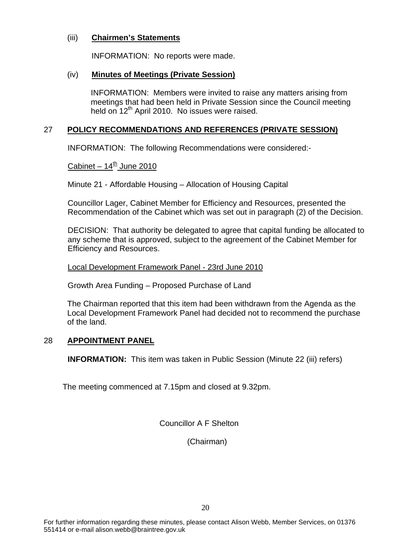#### (iii) **Chairmen's Statements**

INFORMATION: No reports were made.

# (iv) **Minutes of Meetings (Private Session)**

INFORMATION: Members were invited to raise any matters arising from meetings that had been held in Private Session since the Council meeting held on 12<sup>th</sup> April 2010. No issues were raised.

# 27 **POLICY RECOMMENDATIONS AND REFERENCES (PRIVATE SESSION)**

INFORMATION: The following Recommendations were considered:-

Cabinet –  $14<sup>th</sup>$  June 2010

Minute 21 - Affordable Housing – Allocation of Housing Capital

 Councillor Lager, Cabinet Member for Efficiency and Resources, presented the Recommendation of the Cabinet which was set out in paragraph (2) of the Decision.

DECISION: That authority be delegated to agree that capital funding be allocated to any scheme that is approved, subject to the agreement of the Cabinet Member for Efficiency and Resources.

Local Development Framework Panel - 23rd June 2010

Growth Area Funding – Proposed Purchase of Land

The Chairman reported that this item had been withdrawn from the Agenda as the Local Development Framework Panel had decided not to recommend the purchase of the land.

# 28 **APPOINTMENT PANEL**

 **INFORMATION:** This item was taken in Public Session (Minute 22 (iii) refers)

The meeting commenced at 7.15pm and closed at 9.32pm.

Councillor A F Shelton

(Chairman)